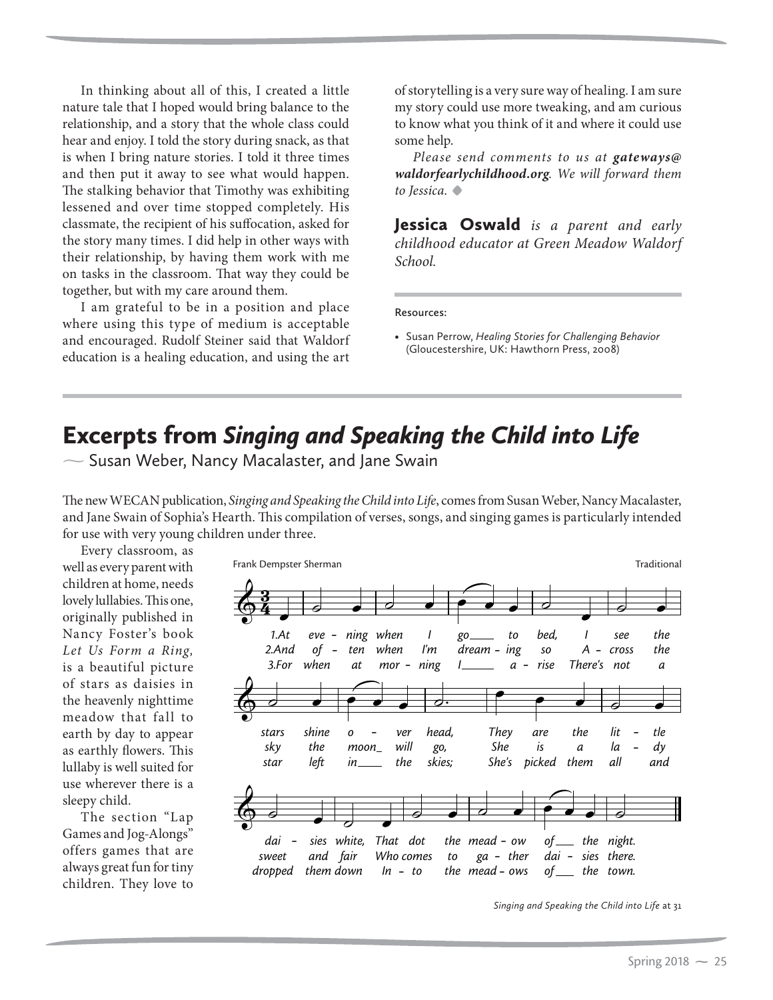## Excerpts from *Singing and Speaking the Child into Life* -

 $\sim$  Susan Weber, Nancy Macalaster, and Jane Swain

The new WECAN publication, *Singing and Speaking the Child into Life*, comes from Susan Weber, Nancy Macalaster, and Jane Swain of Sophia's Hearth. This compilation of verses, songs, and singing games is particularly intended for use with very young children under three.

Every classroom, as well as every parent with children at home, needs lovely lullabies. This one, originally published in Nancy Foster's book *Let Us Form a Ring,*  is a beautiful picture of stars as daisies in the heavenly nighttime meadow that fall to earth by day to appear as earthly flowers. This lullaby is well suited for use wherever there is a sleepy child.

The section "Lap Games and Jog-Alongs" offers games that are always great fun for tiny children. They love to



*Singing and Speaking the Child into Life* at 31